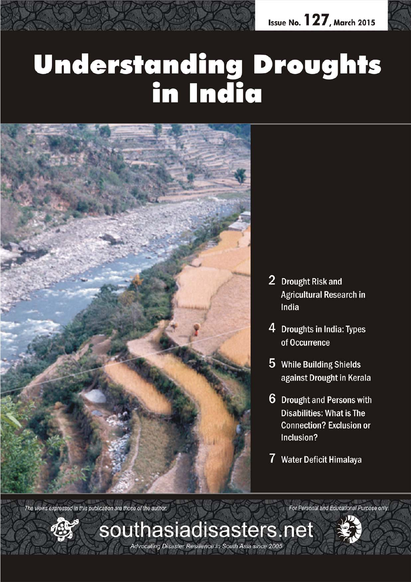

# **Understanding Droughts<br>in India**

*March 2015 southasiadisasters.net 1*

Advocating Disaster Resilience in South Asia since 2005



- 2 Drought Risk and **Agricultural Research in** India
- 4 Droughts in India: Types of Occurrence
- 5 While Building Shields against Drought in Kerala
- 6 Drought and Persons with **Disabilities: What is The Connection? Exclusion or** Inclusion?
- 7 Water Deficit Himalaya

For Personal and Educational Purpose only

The views expressed in this publication are those of the author.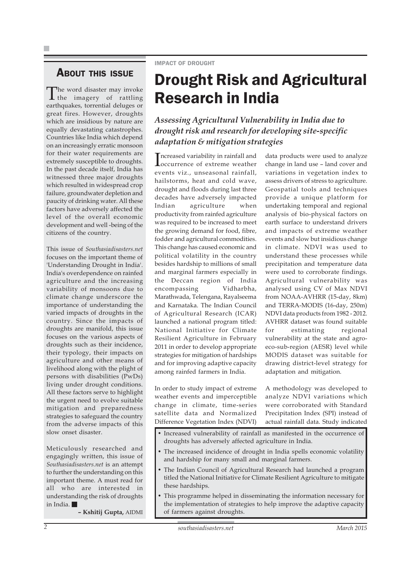### ABOUT THIS ISSUE

The word disaster may invoke the imagery of rattling earthquakes, torrential deluges or great fires. However, droughts which are insidious by nature are equally devastating catastrophes. Countries like India which depend on an increasingly erratic monsoon for their water requirements are extremely susceptible to droughts. In the past decade itself, India has witnessed three major droughts which resulted in widespread crop failure, groundwater depletion and paucity of drinking water. All these factors have adversely affected the level of the overall economic development and well -being of the citizens of the country.

This issue of *Southasiadisasters.net* focuses on the important theme of 'Understanding Drought in India'. India's overdependence on rainfed agriculture and the increasing variability of monsoons due to climate change underscore the importance of understanding the varied impacts of droughts in the country. Since the impacts of droughts are manifold, this issue focuses on the various aspects of droughts such as their incidence, their typology, their impacts on agriculture and other means of livelihood along with the plight of persons with disabilities (PwDs) living under drought conditions. All these factors serve to highlight the urgent need to evolve suitable mitigation and preparedness strategies to safeguard the country from the adverse impacts of this slow onset disaster.

Meticulously researched and engagingly written, this issue of *Southasiadisasters.net* is an attempt to further the understanding on this important theme. A must read for all who are interested in understanding the risk of droughts in India.

**– Kshitij Gupta,** AIDMI

IMPACT OF DROUGHT

## Drought Risk and Agricultural Research in India

*Assessing Agricultural Vulnerability in India due to drought risk and research for developing site-specific adaptation & mitigation strategies*

Increased variability in rainfall and<br> **Increased variable weather** Tncreased variability in rainfall and events viz., unseasonal rainfall, hailstorms, heat and cold wave, drought and floods during last three decades have adversely impacted Indian agriculture when productivity from rainfed agriculture was required to be increased to meet the growing demand for food, fibre, fodder and agricultural commodities. This change has caused economic and political volatility in the country besides hardship to millions of small and marginal farmers especially in the Deccan region of India encompassing Vidharbha, Marathwada, Telengana, Rayalseema and Karnataka. The Indian Council of Agricultural Research (ICAR) launched a national program titled: National Initiative for Climate Resilient Agriculture in February 2011 in order to develop appropriate strategies for mitigation of hardships and for improving adaptive capacity among rainfed farmers in India.

data products were used to analyze change in land use – land cover and variations in vegetation index to assess drivers of stress to agriculture. Geospatial tools and techniques provide a unique platform for undertaking temporal and regional analysis of bio-physical factors on earth surface to understand drivers and impacts of extreme weather events and slow but insidious change in climate. NDVI was used to understand these processes while precipitation and temperature data were used to corroborate findings. Agricultural vulnerability was analysed using CV of Max NDVI from NOAA-AVHRR (15-day, 8km) and TERRA-MODIS (16-day, 250m) NDVI data products from 1982 - 2012. AVHRR dataset was found suitable for estimating regional vulnerability at the state and agroeco-sub-region (AESR) level while MODIS dataset was suitable for drawing district-level strategy for adaptation and mitigation.

In order to study impact of extreme weather events and imperceptible change in climate, time-series satellite data and Normalized Difference Vegetation Index (NDVI)

A methodology was developed to analyze NDVI variations which were corroborated with Standard Precipitation Index (SPI) instead of actual rainfall data. Study indicated

- Increased vulnerability of rainfall as manifested in the occurrence of droughts has adversely affected agriculture in India.
- The increased incidence of drought in India spells economic volatility and hardship for many small and marginal farmers.
- The Indian Council of Agricultural Research had launched a program titled the National Initiative for Climate Resilient Agriculture to mitigate these hardships.
- This programme helped in disseminating the information necessary for the implementation of strategies to help improve the adaptive capacity of farmers against droughts.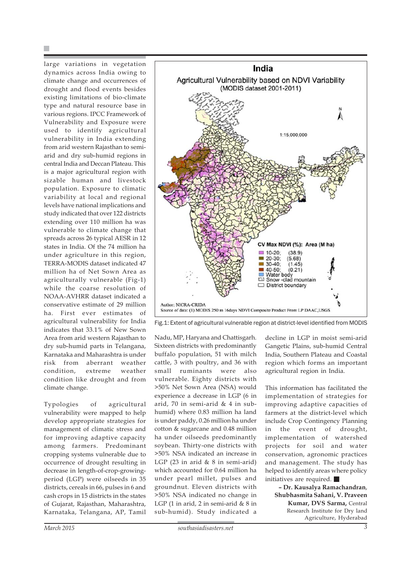large variations in vegetation dynamics across India owing to climate change and occurrences of drought and flood events besides existing limitations of bio-climate type and natural resource base in various regions. IPCC Framework of Vulnerability and Exposure were used to identify agricultural vulnerability in India extending from arid western Rajasthan to semiarid and dry sub-humid regions in central India and Deccan Plateau. This is a major agricultural region with sizable human and livestock population. Exposure to climatic variability at local and regional levels have national implications and study indicated that over 122 districts extending over 110 million ha was vulnerable to climate change that spreads across 26 typical AESR in 12 states in India. Of the 74 million ha under agriculture in this region, TERRA-MODIS dataset indicated 47 million ha of Net Sown Area as agriculturally vulnerable (Fig-1) while the coarse resolution of NOAA-AVHRR dataset indicated a conservative estimate of 29 million ha. First ever estimates of agricultural vulnerability for India indicates that 33.1% of New Sown Area from arid western Rajasthan to dry sub-humid parts in Telangana, Karnataka and Maharashtra is under risk from aberrant weather condition, extreme weather condition like drought and from climate change.

Typologies of agricultural vulnerability were mapped to help develop appropriate strategies for management of climatic stress and for improving adaptive capacity among farmers. Predominant cropping systems vulnerable due to occurrence of drought resulting in decrease in length-of-crop-growingperiod (LGP) were oilseeds in 35 districts, cereals in 66, pulses in 6 and cash crops in 15 districts in the states of Gujarat, Rajasthan, Maharashtra, Karnataka, Telangana, AP, Tamil



Fig.1: Extent of agricultural vulnerable region at district-level identified from MODIS

Nadu, MP, Haryana and Chattisgarh. Sixteen districts with predominantly buffalo population, 51 with milch cattle, 3 with poultry, and 36 with small ruminants were also vulnerable. Eighty districts with >50% Net Sown Area (NSA) would experience a decrease in LGP (6 in arid, 70 in semi-arid & 4 in subhumid) where 0.83 million ha land is under paddy, 0.26 million ha under cotton & sugarcane and 0.48 million ha under oilseeds predominantly soybean. Thirty-one districts with >50% NSA indicated an increase in LGP (23 in arid  $& 8$  in semi-arid) which accounted for 0.64 million ha under pearl millet, pulses and groundnut. Eleven districts with >50% NSA indicated no change in LGP (1 in arid, 2 in semi-arid & 8 in sub-humid). Study indicated a

decline in LGP in moist semi-arid Gangetic Plains, sub-humid Central India, Southern Plateau and Coastal region which forms an important agricultural region in India.

This information has facilitated the implementation of strategies for improving adaptive capacities of farmers at the district-level which include Crop Contingency Planning in the event of drought, implementation of watershed projects for soil and water conservation, agronomic practices and management. The study has helped to identify areas where policy initiatives are required.

**– Dr. Kausalya Ramachandran**, **Shubhasmita Sahani, V. Praveen Kumar, DVS Sarma,** Central Research Institute for Dry land Agriculture, Hyderabad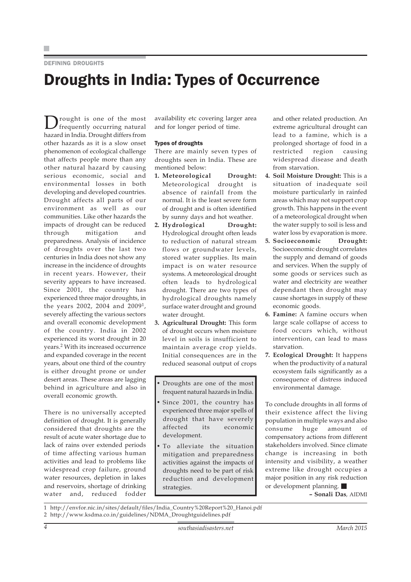### DEFINING DROUGHTS

### Droughts in India: Types of Occurrence

Drought is one of the most<br>frequently occurring natural hazard in India. Drought differs from other hazards as it is a slow onset phenomenon of ecological challenge that affects people more than any other natural hazard by causing serious economic, social and environmental losses in both developing and developed countries. Drought affects all parts of our environment as well as our communities. Like other hazards the impacts of drought can be reduced through mitigation and preparedness. Analysis of incidence of droughts over the last two centuries in India does not show any increase in the incidence of droughts in recent years. However, their severity appears to have increased. Since 2001, the country has experienced three major droughts, in the years 2002, 2004 and 20091, severely affecting the various sectors and overall economic development of the country. India in 2002 experienced its worst drought in 20 years.2 With its increased occurrence and expanded coverage in the recent years, about one third of the country is either drought prone or under desert areas. These areas are lagging behind in agriculture and also in overall economic growth.

There is no universally accepted definition of drought. It is generally considered that droughts are the result of acute water shortage due to lack of rains over extended periods of time affecting various human activities and lead to problems like widespread crop failure, ground water resources, depletion in lakes and reservoirs, shortage of drinking water and, reduced fodder

availability etc covering larger area and for longer period of time.

### Types of droughts

There are mainly seven types of droughts seen in India. These are mentioned below:

- **1. Meteorological Drought:** Meteorological drought is absence of rainfall from the normal. It is the least severe form of drought and is often identified by sunny days and hot weather.
- **2. Hydrological Drought:** Hydrological drought often leads to reduction of natural stream flows or groundwater levels, stored water supplies. Its main impact is on water resource systems. A meteorological drought often leads to hydrological drought. There are two types of hydrological droughts namely surface water drought and ground water drought.
- **3. Agricultural Drought:** This form of drought occurs when moisture level in soils is insufficient to maintain average crop yields. Initial consequences are in the reduced seasonal output of crops
- Droughts are one of the most frequent natural hazards in India.
- Since 2001, the country has experienced three major spells of drought that have severely affected its economic development.
- To alleviate the situation mitigation and preparedness activities against the impacts of droughts need to be part of risk reduction and development strategies.

and other related production. An extreme agricultural drought can lead to a famine, which is a prolonged shortage of food in a restricted region causing widespread disease and death from starvation.

- **4. Soil Moisture Drought:** This is a situation of inadequate soil moisture particularly in rainfed areas which may not support crop growth. This happens in the event of a meteorological drought when the water supply to soil is less and water loss by evaporation is more.
- **5. Socioeconomic Drought:** Socioeconomic drought correlates the supply and demand of goods and services. When the supply of some goods or services such as water and electricity are weather dependant then drought may cause shortages in supply of these economic goods.
- **6. Famine:** A famine occurs when large scale collapse of access to food occurs which, without intervention, can lead to mass starvation.
- **7. Ecological Drought:** It happens when the productivity of a natural ecosystem fails significantly as a consequence of distress induced environmental damage.

To conclude droughts in all forms of their existence affect the living population in multiple ways and also consume huge amount of compensatory actions from different stakeholders involved. Since climate change is increasing in both intensity and visibility, a weather extreme like drought occupies a major position in any risk reduction or development planning.

**– Sonali Das**, AIDMI

1 http://envfor.nic.in/sites/default/files/India\_Country%20Report%20\_Hanoi.pdf 2 http://www.ksdma.co.in/guidelines/NDMA\_Droughtguidelines.pdf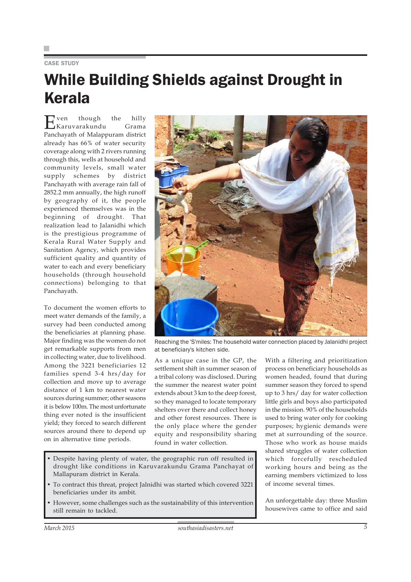### CASE STUDY

# While Building Shields against Drought in Kerala

Even though the hilly Karuvarakundu Grama Panchayath of Malappuram district already has 66% of water security coverage along with 2 rivers running through this, wells at household and community levels, small water supply schemes by district Panchayath with average rain fall of 2852.2 mm annually, the high runoff by geography of it, the people experienced themselves was in the beginning of drought. That realization lead to Jalanidhi which is the prestigious programme of Kerala Rural Water Supply and Sanitation Agency, which provides sufficient quality and quantity of water to each and every beneficiary households (through household connections) belonging to that Panchayath.

To document the women efforts to meet water demands of the family, a survey had been conducted among the beneficiaries at planning phase. Major finding was the women do not get remarkable supports from men in collecting water, due to livelihood. Among the 3221 beneficiaries 12 families spend 3-4 hrs/day for collection and move up to average distance of 1 km to nearest water sources during summer; other seasons it is below 100m. The most unfortunate thing ever noted is the insufficient yield; they forced to search different sources around there to depend up on in alternative time periods.



Reaching the 'S'miles: The household water connection placed by Jalanidhi project at beneficiary's kitchen side.

As a unique case in the GP, the settlement shift in summer season of a tribal colony was disclosed. During the summer the nearest water point extends about 3 km to the deep forest, so they managed to locate temporary shelters over there and collect honey and other forest resources. There is the only place where the gender equity and responsibility sharing found in water collection.

- Despite having plenty of water, the geographic run off resulted in drought like conditions in Karuvarakundu Grama Panchayat of Mallapuram district in Kerala.
- To contract this threat, project Jalnidhi was started which covered 3221 beneficiaries under its ambit.
- However, some challenges such as the sustainability of this intervention still remain to tackled.

With a filtering and prioritization process on beneficiary households as women headed, found that during summer season they forced to spend up to 3 hrs/ day for water collection little girls and boys also participated in the mission. 90% of the households used to bring water only for cooking purposes; hygienic demands were met at surrounding of the source. Those who work as house maids shared struggles of water collection which forcefully rescheduled working hours and being as the earning members victimized to loss of income several times.

An unforgettable day: three Muslim housewives came to office and said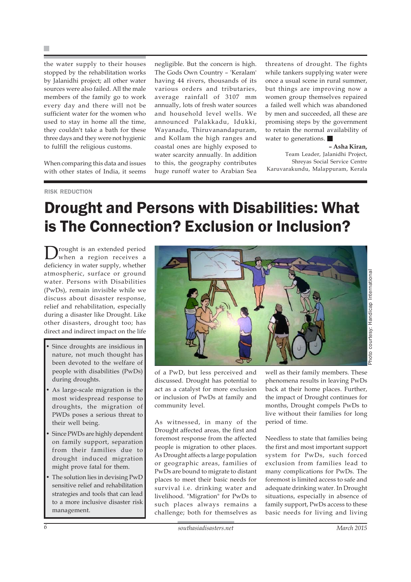the water supply to their houses stopped by the rehabilitation works by Jalanidhi project; all other water sources were also failed. All the male members of the family go to work every day and there will not be sufficient water for the women who used to stay in home all the time, they couldn't take a bath for these three days and they were not hygienic to fulfill the religious customs.

When comparing this data and issues with other states of India, it seems negligible. But the concern is high. The Gods Own Country – 'Keralam' having 44 rivers, thousands of its various orders and tributaries, average rainfall of 3107 mm annually, lots of fresh water sources and household level wells. We announced Palakkadu, Idukki, Wayanadu, Thiruvanandapuram, and Kollam the high ranges and coastal ones are highly exposed to water scarcity annually. In addition to this, the geography contributes huge runoff water to Arabian Sea

threatens of drought. The fights while tankers supplying water were once a usual scene in rural summer, but things are improving now a women group themselves repaired a failed well which was abandoned by men and succeeded, all these are promising steps by the government to retain the normal availability of water to generations.

### **– Asha Kiran,**

Photo courtesy: Handicap International

noto courtesy: Handicap Internationa

Team Leader, Jalanidhi Project, Shreyas Social Service Centre Karuvarakundu, Malappuram, Kerala

#### RISK REDUCTION

### Drought and Persons with Disabilities: What is The Connection? Exclusion or Inclusion?

Drought is an extended period when a region receives a deficiency in water supply, whether atmospheric, surface or ground water. Persons with Disabilities (PwDs), remain invisible while we discuss about disaster response, relief and rehabilitation, especially during a disaster like Drought. Like other disasters, drought too; has direct and indirect impact on the life

- Since droughts are insidious in nature, not much thought has been devoted to the welfare of people with disabilities (PwDs) during droughts.
- As large-scale migration is the most widespread response to droughts, the migration of PWDs poses a serious threat to their well being.
- Since PWDs are highly dependent on family support, separation from their families due to drought induced migration might prove fatal for them.
- The solution lies in devising PwD sensitive relief and rehabilitation strategies and tools that can lead to a more inclusive disaster risk management.



of a PwD, but less perceived and discussed. Drought has potential to act as a catalyst for more exclusion or inclusion of PwDs at family and community level.

As witnessed, in many of the Drought affected areas, the first and foremost response from the affected people is migration to other places. As Drought affects a large population or geographic areas, families of PwDs are bound to migrate to distant places to meet their basic needs for survival i.e. drinking water and livelihood. "Migration" for PwDs to such places always remains a challenge; both for themselves as

well as their family members. These phenomena results in leaving PwDs back at their home places. Further, the impact of Drought continues for months, Drought compels PwDs to live without their families for long period of time.

Needless to state that families being the first and most important support system for PwDs, such forced exclusion from families lead to many complications for PwDs. The foremost is limited access to safe and adequate drinking water. In Drought situations, especially in absence of family support, PwDs access to these basic needs for living and living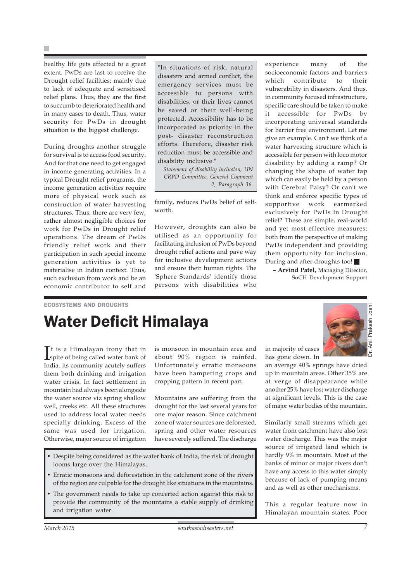healthy life gets affected to a great extent. PwDs are last to receive the Drought relief facilities; mainly due to lack of adequate and sensitised relief plans. Thus, they are the first to succumb to deteriorated health and in many cases to death. Thus, water security for PwDs in drought situation is the biggest challenge.

During droughts another struggle for survival is to access food security. And for that one need to get engaged in income generating activities. In a typical Drought relief programs, the income generation activities require more of physical work such as construction of water harvesting structures. Thus, there are very few, rather almost negligible choices for work for PwDs in Drought relief operations. The dream of PwDs friendly relief work and their participation in such special income generation activities is yet to materialise in Indian context. Thus, such exclusion from work and be an economic contributor to self and "In situations of risk, natural disasters and armed conflict, the emergency services must be accessible to persons with disabilities, or their lives cannot be saved or their well-being protected. Accessibility has to be incorporated as priority in the post- disaster reconstruction efforts. Therefore, disaster risk reduction must be accessible and disability inclusive."

*Statement of disability inclusion, UN CRPD Committee, General Comment 2, Paragraph 36.*

family, reduces PwDs belief of selfworth

However, droughts can also be utilised as an opportunity for facilitating inclusion of PwDs beyond drought relief actions and pave way for inclusive development actions and ensure their human rights. The 'Sphere Standards' identify those persons with disabilities who

experience many of the socioeconomic factors and barriers which contribute to their vulnerability in disasters. And thus, in community focused infrastructure, specific care should be taken to make it accessible for PwDs by incorporating universal standards for barrier free environment. Let me give an example. Can't we think of a water harvesting structure which is accessible for person with loco motor disability by adding a ramp? Or changing the shape of water tap which can easily be held by a person with Cerebral Palsy? Or can't we think and enforce specific types of supportive work earmarked exclusively for PwDs in Drought relief? These are simple, real-world and yet most effective measures; both from the perspective of making PwDs independent and providing them opportunity for inclusion. During and after droughts too!

**– Arvind Patel,** Managing Director, SoCH Development Support

### ECOSYSTEMS AND DROUGHTS

## Water Deficit Himalaya

It is a Himalayan irony that in<br>spite of being called water bank of t is a Himalayan irony that in India, its community acutely suffers them both drinking and irrigation water crisis. In fact settlement in mountain had always been alongside the water source viz spring shallow well, creeks etc. All these structures used to address local water needs specially drinking. Excess of the same was used for irrigation. Otherwise, major source of irrigation is monsoon in mountain area and about 90% region is rainfed. Unfortunately erratic monsoons have been hampering crops and cropping pattern in recent part.

Mountains are suffering from the drought for the last several years for one major reason. Since catchment zone of water sources are deforested, spring and other water resources have severely suffered. The discharge

- Despite being considered as the water bank of India, the risk of drought looms large over the Himalayas.
- Erratic monsoons and deforestation in the catchment zone of the rivers of the region are culpable for the drought like situations in the mountains.
- The government needs to take up concerted action against this risk to provide the community of the mountains a stable supply of drinking and irrigation water.

Prakash Joshi Dr. Anil Prakash Joshi

in majority of cases has gone down. In

an average 40% springs have dried up in mountain areas. Other 35% are at verge of disappearance while another 25% have lost water discharge at significant levels. This is the case of major water bodies of the mountain.

Similarly small streams which get water from catchment have also lost water discharge. This was the major source of irrigated land which is hardly 9% in mountain. Most of the banks of minor or major rivers don't have any access to this water simply because of lack of pumping means and as well as other mechanisms.

This a regular feature now in Himalayan mountain states. Poor